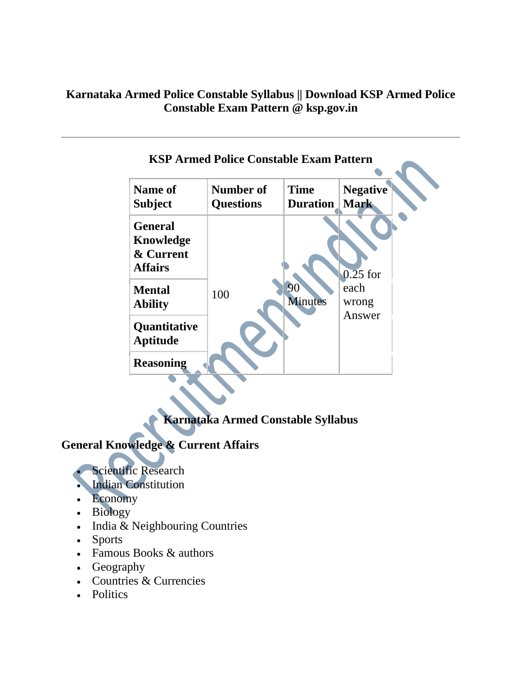### **Karnataka Armed Police Constable Syllabus || Download KSP Armed Police Constable Exam Pattern @ ksp.gov.in**

| <b>Name of</b><br><b>Subject</b>                           | тел типса і онсе соняшле плані і апсін<br>Number of<br><b>Questions</b> | <b>Time</b><br><b>Duration</b> | <b>Negative</b><br><b>Mark</b>        |
|------------------------------------------------------------|-------------------------------------------------------------------------|--------------------------------|---------------------------------------|
| <b>General</b><br>Knowledge<br>& Current<br><b>Affairs</b> | 100                                                                     | 90<br><b>Minutes</b>           | $0.25$ for<br>each<br>wrong<br>Answer |
| <b>Mental</b><br><b>Ability</b>                            |                                                                         |                                |                                       |
| Quantitative<br><b>Aptitude</b>                            |                                                                         |                                |                                       |
| <b>Reasoning</b>                                           |                                                                         |                                |                                       |

# **KSP Armed Police Constable Exam Pattern**

## **Karnataka Armed Constable Syllabus**

# **General Knowledge & Current Affairs**

**Scientific Research** 

- Indian Constitution
- Economy
- Biology
- India & Neighbouring Countries
- Sports
- Famous Books & authors
- Geography
- Countries & Currencies
- Politics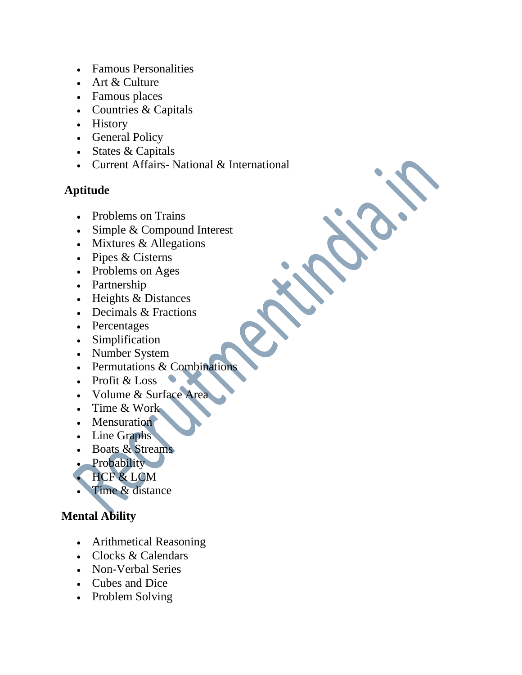- Famous Personalities
- Art & Culture
- Famous places
- Countries & Capitals
- History
- General Policy
- States & Capitals
- Current Affairs- National & International

### **Aptitude**

- Problems on Trains
- Simple & Compound Interest
- Mixtures & Allegations
- Pipes & Cisterns
- Problems on Ages
- Partnership
- Heights & Distances
- Decimals & Fractions
- Percentages
- Simplification
- Number System
- Permutations & Combinations
- Profit & Loss
- Volume & Surface Area
- Time & Work
- Mensuration
- Line Graphs
- Boats & Streams
- Probability
- HCF & LCM
- Time & distance

### **Mental Ability**

- Arithmetical Reasoning
- Clocks & Calendars
- Non-Verbal Series
- Cubes and Dice
- Problem Solving